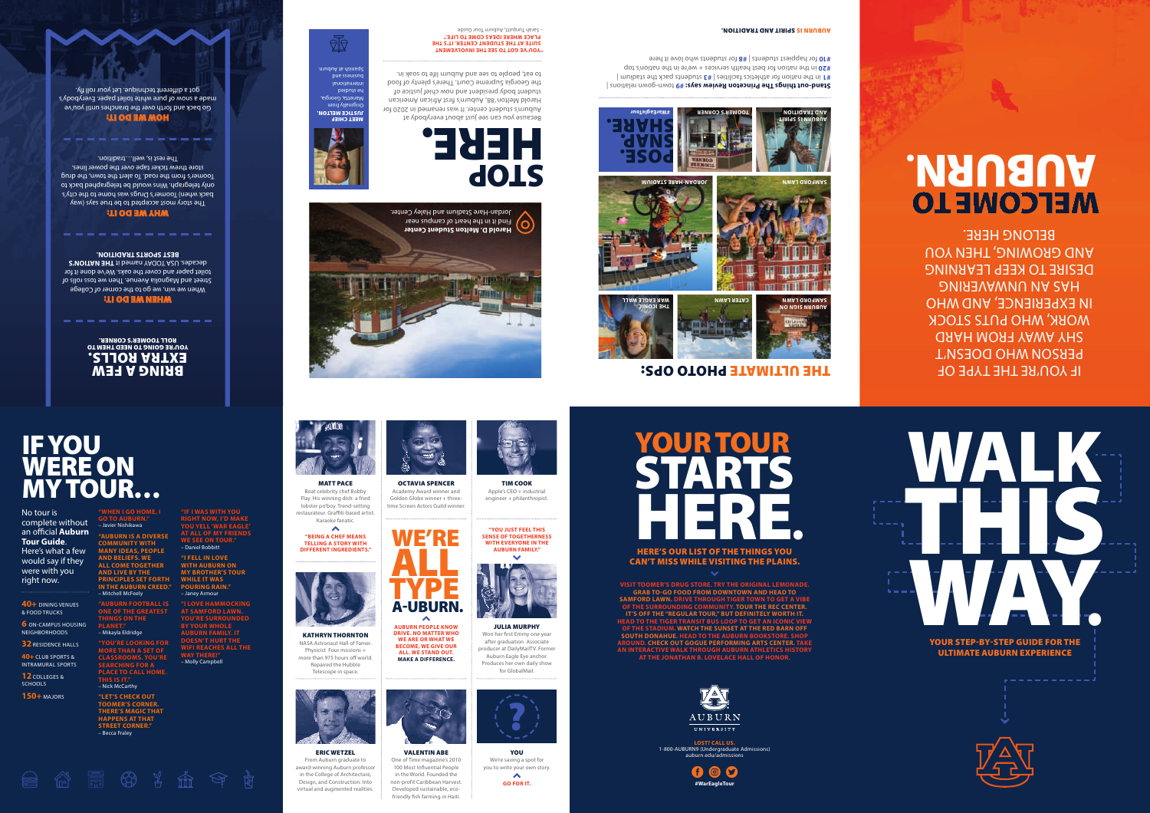$\blacktriangle$ **"BEING A CHEF MEANS TELLING A STORY WITH DIFFERENT INGREDIENTS."**





ULTIMATE AUBURN EXPERIENCE

. <u>. . . . . . . . . . .</u> .



TIM COOK Apple's CEO + industrial engineer + philanthropist.

**6** ON-CAMPUS HOUSING NEIGHBORHOODS

**32 RESIDENCE HALLS** 

**12** COLLEGES & **SCHOOLS** 

OCTAVIA SPENCER Academy Award winner and Golden Globe winner + threetime Screen Actors Guild winner.

KATHRYN THORNTON NASA Astronaut Hall of Famer. Physicist. Four missions + more than 975 hours off world. Repaired the Hubble Telescope in space.









One of Time magazine's 2010 100 Most Influential People in the World. Founded the non-profit Caribbean Harvest. Developed sustainable, ecofriendly fish farming in Haiti.



600 **#WarEagleTour**



**AUBURN PEOPLE KNOW DRIVE. NO MATTER WHO WE ARE OR WHAT WE BECOME, WE GIVE OUR ALL. WE STAND OUT. MAKE A DIFFERENCE.**

> YOU We're saving a spot for  $\blacktriangle$ **GO FOR IT.**



#### MATT PACE

Beat celebrity chef Bobby Flay. His winning dish: a fried lobster po'boy. Trend-setting restaurateur. Graffiti-based artist. Karaoke fanatic.

> JULIA MURPHY Won her first Emmy one year after graduation. Associate producer at DailyMailTV. Former Auburn Eagle Eye anchor. Produces her own daily show for GlobalMail.



**"WHEN I GO HOME, I GO TO AUBURN."** – Javier Nishikawa **"AUBURN IS A DIVERSE COMMUNITY WITH MANY IDEAS, PEOPLE AND BELIEFS. WE ALL COME TOGETHER AND LIVE BY THE PRINCIPLES SET FORTH** 

**ONE OF THE GREATEST THINGS ON THE PLANET."**  – Mikayla Eldridge **"YOU'RE LOOKING FOR** 

**MORE THAN A SET OF CLASSROOMS. YOU'RE SEARCHING FOR A PLACE TO CALL HOME. THIS IS IT."**

**IN THE AUBURN CREED."**  – Mitchell McFeely **"AUBURN FOOTBALL IS**  – Janey Armour

– Nick McCarthy **"LET'S CHECK OUT TOOMER'S CORNER. THERE'S MAGIC THAT HAPPENS AT THAT STREET CORNER."** – Becca Fraley

 $\bigotimes$   $\bigotimes$   $\bigotimes$ 

**"IF I WAS WITH YOU RIGHT NOW, I'D MAKE YOU YELL 'WAR EAGLE' AT ALL OF MY FRIENDS WE SEE ON TOUR."**

– Daniel Bobbitt **"I FELL IN LOVE WITH AUBURN ON MY BROTHER'S TOUR WHILE IT WAS POURING RAIN."**

**"I LOVE HAMMOCKING AT SAMFORD LAWN. YOU'RE SURROUNDED BY YOUR WHOLE AUBURN FAMILY. IT DOESN'T HURT THE WIFI REACHES ALL THE WAY THERE!"** – Molly Campbell



No tour is complete without an official **Auburn Tour Guide**. Here's what a few would say if they were with you right now.

# IF YOU WERE ON MY TOUR…

**40+** DINING VENUES & FOOD TRUCKS

**40+** CLUB SPORTS & INTRAMURAL SPORTS

**150+** MAJORS

**VISIT TOOMER'S DRUG STORE. TRY THE ORIGINAL LEMONADE. GRAB TO-GO FOOD FROM DOWNTOWN AND HEAD TO SAMFORD LAWN. DRIVE THROUGH TIGER TOWN TO GET A VIBE OF THE SURROUNDING COMMUNITY. TOUR THE REC CENTER. IT'S OFF THE "REGULAR TOUR," BUT DEFINITELY WORTH IT. HEAD TO THE TIGER TRANSIT BUS LOOP TO GET AN ICONIC VIEW OF THE STADIUM. WATCH THE SUNSET AT THE RED BARN OFF SOUTH DONAHUE. HEAD TO THE AUBURN BOOKSTORE. SHOP AROUND. CHECK OUT GOGUE PERFORMING ARTS CENTER. TAKE AN INTERACTIVE WALK THROUGH AUBURN ATHLETICS HISTORY AT THE JONATHAN B. LOVELACE HALL OF HONOR.**



# YOUR TOUR STARTS HERE OUR LIST OF THE THINGS YOU . HERE'S OUR LIST OF THE THINGS YOU

CAN'T MISS WHILE VISITING THE PLAINS.

**LOST? CALL US.** 1-800-AUBURN9 (Undergraduate Admissions) auburn.edu/admissions

#### ERIC WETZEL

From Auburn graduate to award-winning Auburn professor in the College of Architecture, Design, and Construction. Into virtual and augmented realities.

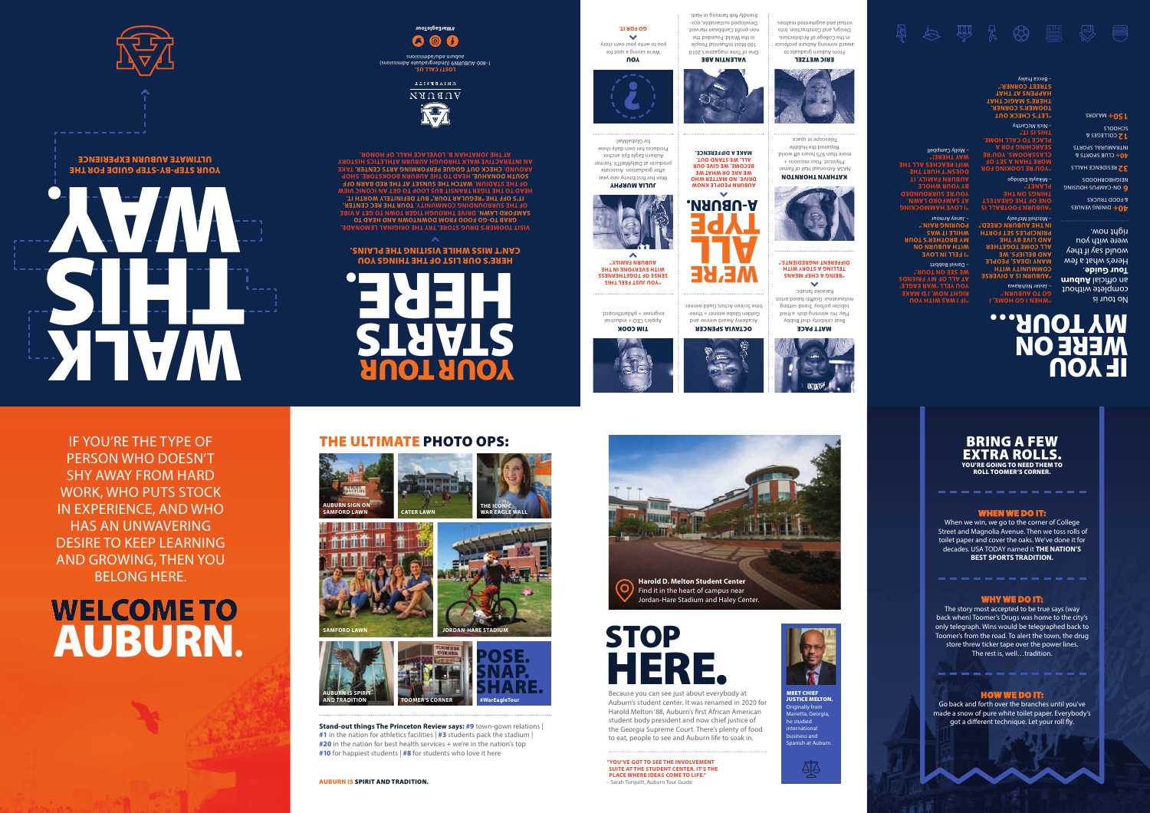## BRING A FEW EXTRA ROLLS. YOU'RE GOING TO NEED THEM TO ROLL TOOMER'S CORNER.

## WHEN WE DO IT:

When we win, we go to the corner of College Street and Magnolia Avenue. Then we toss rolls of toilet paper and cover the oaks. We've done it for decades. USA TODAY named it **THE NATION'S BEST SPORTS TRADITION.**

### WHY WE DO IT:

The story most accepted to be true says (way back when) Toomer's Drugs was home to the city's only telegraph. Wins would be telegraphed back to Toomer's from the road. To alert the town, the drug store threw ticker tape over the power lines. The rest is, well…tradition.

## HOW WE DO IT:

Go back and forth over the branches until you've made a snow of pure white toilet paper. Everybody's got a different technique. Let your roll fly.

# THE ULTIMATE PHOTO OPS:

**Stand-out things The Princeton Review says: #9** town-gown relations | **#1** in the nation for athletics facilities | **#3** students pack the stadium | **#20** in the nation for best health services + we're in the nation's top **#10** for happiest students | **#8** for students who love it here











# STOP HERE.

Because you can see just about everybody at Auburn's student center. It was renamed in 2020 for Harold Melton '88, Auburn's first African American student body president and now chief justice of the Georgia Supreme Court. There's plenty of food to eat, people to see and Auburn life to soak in.

**Harold D. Melton Student Center**  Find it in the heart of campus near Jordan-Hare Stadium and Haley Center.

#### MEET CHIEF JUSTICE MELTON. Originally from Marietta, Georgia, he studied

international business and Spanish at Auburn.



**"YOU'VE GOT TO SEE THE INVOLVEMENT SUITE AT THE STUDENT CENTER. IT'S THE PLACE WHERE IDEAS COME TO LIFE."** – Sarah Turquitt, Auburn Tour Guide







IF YOU'RE THE TYPE OF PERSON WHO DOESN'T SHY AWAY FROM HARD WORK, WHO PUTS STOCK IN EXPERIENCE, AND WHO HAS AN UNWAVERING DESIRE TO KEEP LEARNING AND GROWING, THEN YOU BELONG HERE.

# WELCOME TO AUBURN .

#### AUBURN IS SPIRIT AND TRADITION.